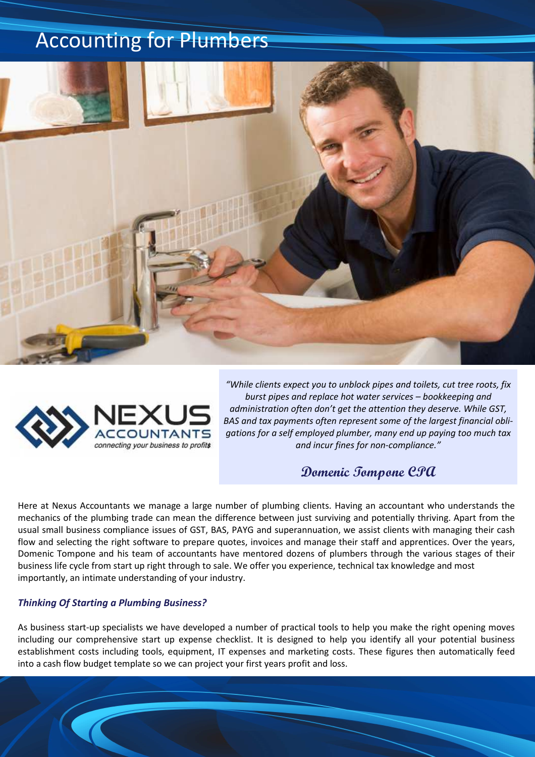## Accounting for Plumbers





*"While clients expect you to unblock pipes and toilets, cut tree roots, fix burst pipes and replace hot water services – bookkeeping and administration often don't get the attention they deserve. While GST, BAS and tax payments often represent some of the largest financial obligations for a self employed plumber, many end up paying too much tax and incur fines for non-compliance."* 

**Domenic Tompone CPA**

Here at Nexus Accountants we manage a large number of plumbing clients. Having an accountant who understands the mechanics of the plumbing trade can mean the difference between just surviving and potentially thriving. Apart from the usual small business compliance issues of GST, BAS, PAYG and superannuation, we assist clients with managing their cash flow and selecting the right software to prepare quotes, invoices and manage their staff and apprentices. Over the years, Domenic Tompone and his team of accountants have mentored dozens of plumbers through the various stages of their business life cycle from start up right through to sale. We offer you experience, technical tax knowledge and most importantly, an intimate understanding of your industry.

## *Thinking Of Starting a Plumbing Business?*

As business start-up specialists we have developed a number of practical tools to help you make the right opening moves including our comprehensive start up expense checklist. It is designed to help you identify all your potential business establishment costs including tools, equipment, IT expenses and marketing costs. These figures then automatically feed into a cash flow budget template so we can project your first years profit and loss.